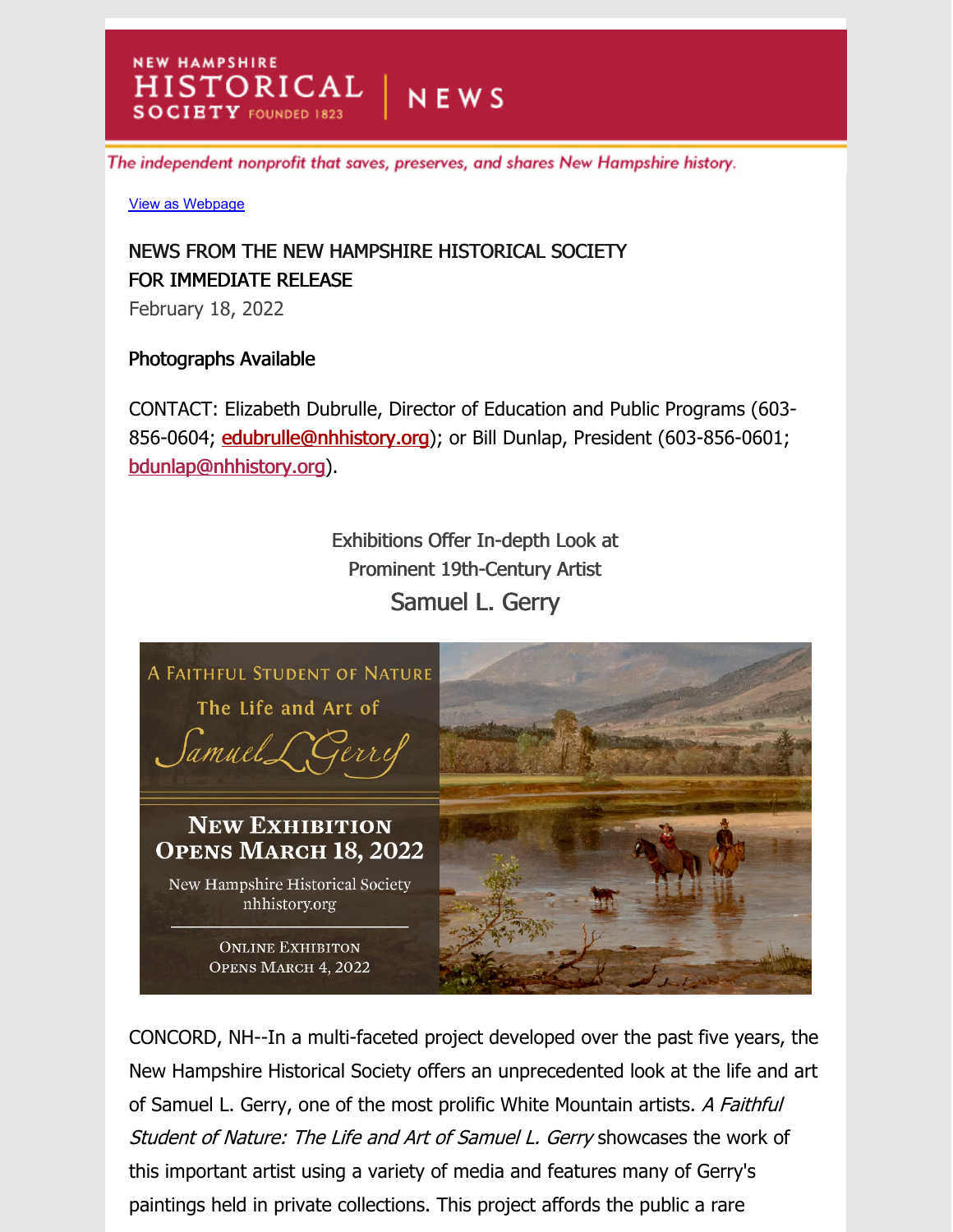The independent nonprofit that saves, preserves, and shares New Hampshire history.

View as Webpage

**NEW HAMPSHIRE** 

## NEWS FROM THE NEW HAMPSHIRE HISTORICAL SOCIETY FOR IMMEDIATE RELEASE

HISTORICAL NEWS

 $Y$  FOUNDED 1823

February 18, 2022

## Photographs Available

CONTACT: Elizabeth Dubrulle, Director of Education and Public Programs (603- 856-0604; edubrulle@nhhistory.org); or Bill Dunlap, President (603-856-0601; bdunlap@nhhistory.org).

> Exhibitions Offer In-depth Look at Prominent 19th-Century Artist Samuel L. Gerry



CONCORD, NH--In a multi-faceted project developed over the past five years, the New Hampshire Historical Society offers an unprecedented look at the life and art of Samuel L. Gerry, one of the most prolific White Mountain artists. A Faithful Student of Nature: The Life and Art of Samuel L. Gerry showcases the work of this important artist using a variety of media and features many of Gerry's paintings held in private collections. This project affords the public a rare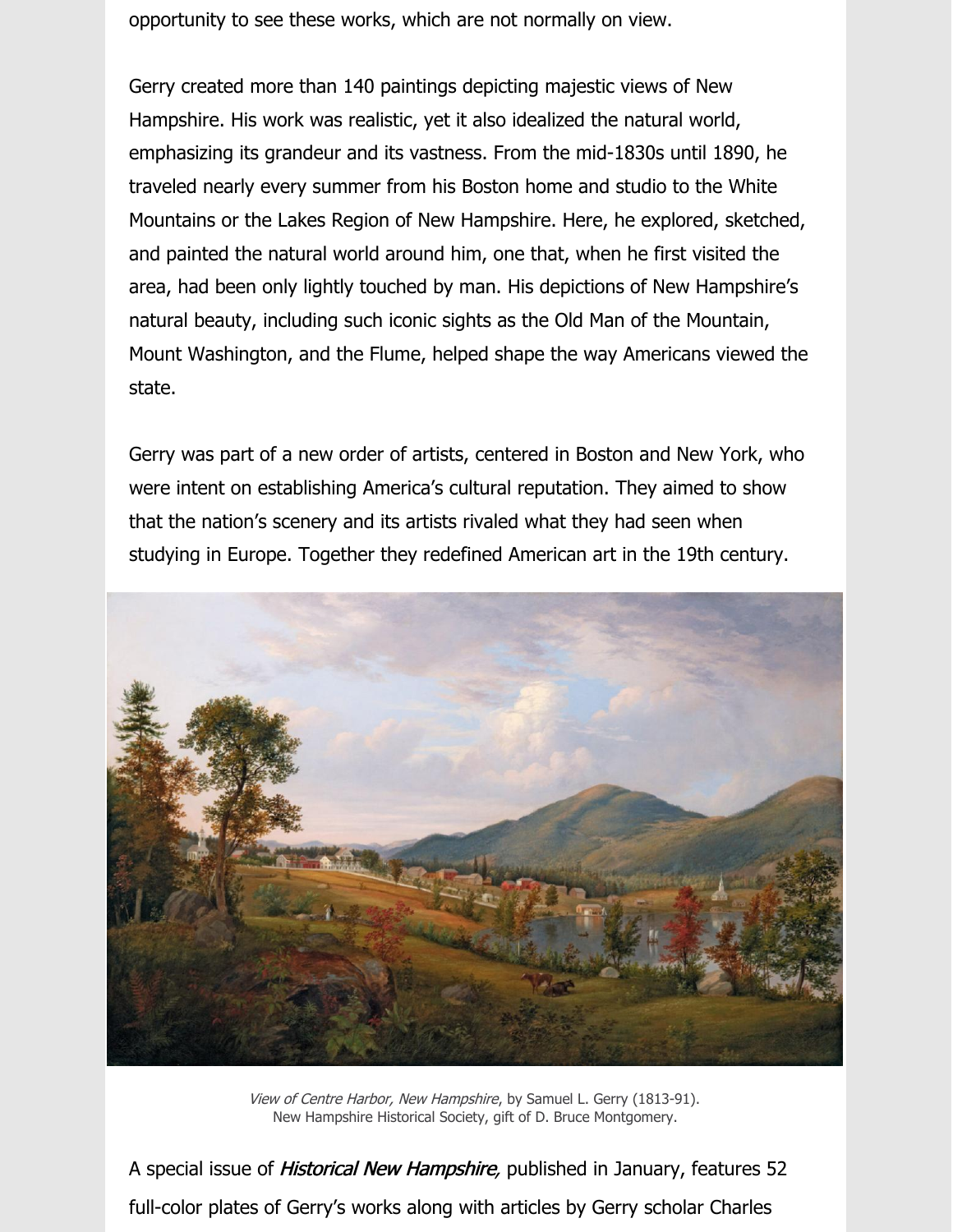opportunity to see these works, which are not normally on view.

Gerry created more than 140 paintings depicting majestic views of New Hampshire. His work was realistic, yet it also idealized the natural world, emphasizing its grandeur and its vastness. From the mid-1830s until 1890, he traveled nearly every summer from his Boston home and studio to the White Mountains or the Lakes Region of New Hampshire. Here, he explored, sketched, and painted the natural world around him, one that, when he first visited the area, had been only lightly touched by man. His depictions of New Hampshire's natural beauty, including such iconic sights as the Old Man of the Mountain, Mount Washington, and the Flume, helped shape the way Americans viewed the state.

Gerry was part of a new order of artists, centered in Boston and New York, who were intent on establishing America's cultural reputation. They aimed to show that the nation's scenery and its artists rivaled what they had seen when studying in Europe. Together they redefined American art in the 19th century.



View of Centre Harbor, New Hampshire, by Samuel L. Gerry (1813-91). New Hampshire Historical Society, gift of D. Bruce Montgomery.

A special issue of *Historical New Hampshire*, published in January, features 52 full-color plates of Gerry's works along with articles by Gerry scholar Charles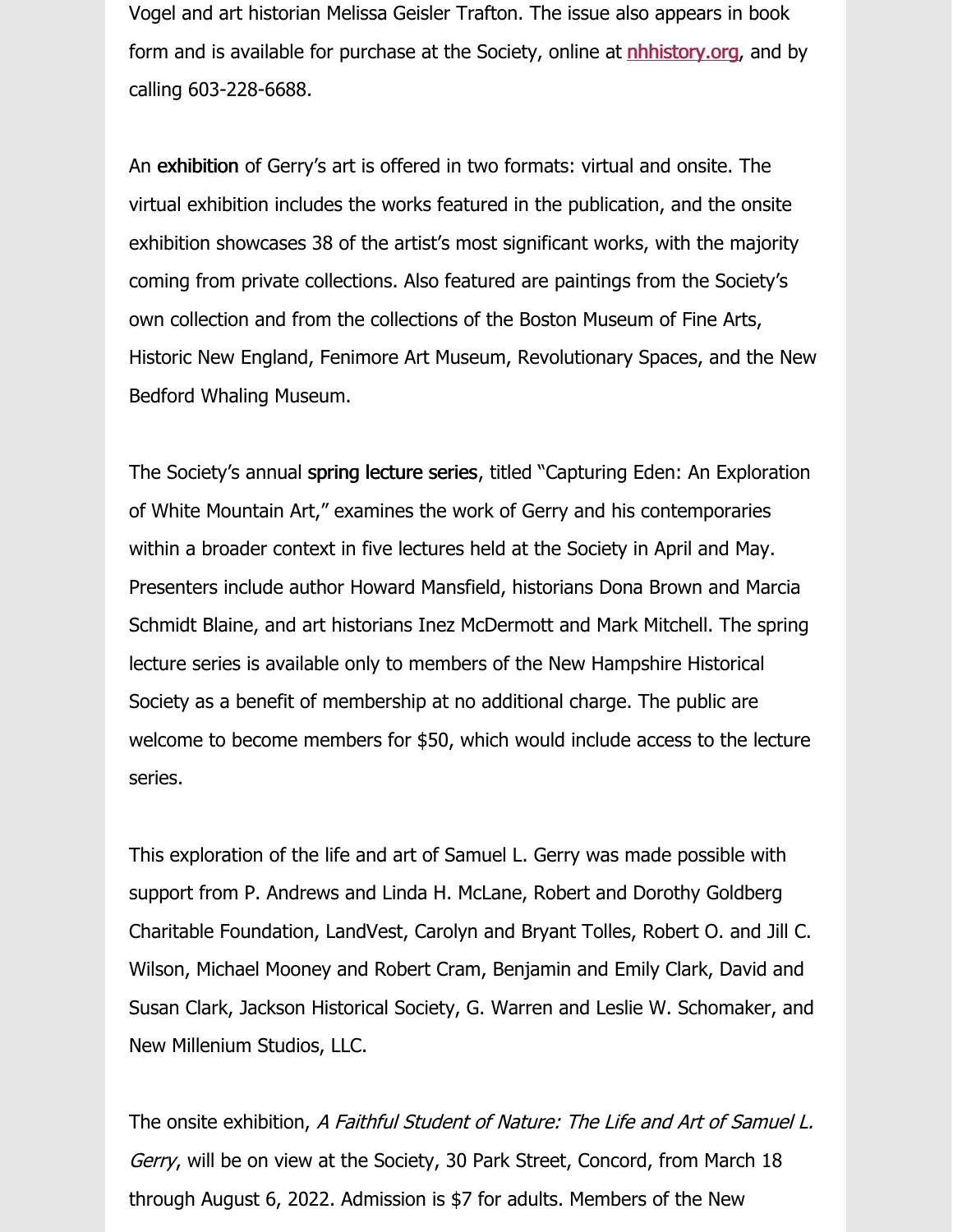Vogel and art historian Melissa Geisler Trafton. The issue also appears in book form and is available for purchase at the Society, online at **nhhistory.org**, and by calling 603-228-6688.

An exhibition of Gerry's art is offered in two formats: virtual and onsite. The virtual exhibition includes the works featured in the publication, and the onsite exhibition showcases 38 of the artist's most significant works, with the majority coming from private collections. Also featured are paintings from the Society's own collection and from the collections of the Boston Museum of Fine Arts, Historic New England, Fenimore Art Museum, Revolutionary Spaces, and the New Bedford Whaling Museum.

The Society's annual spring lecture series, titled "Capturing Eden: An Exploration of White Mountain Art," examines the work of Gerry and his contemporaries within a broader context in five lectures held at the Society in April and May. Presenters include author Howard Mansfield, historians Dona Brown and Marcia Schmidt Blaine, and art historians Inez McDermott and Mark Mitchell. The spring lecture series is available only to members of the New Hampshire Historical Society as a benefit of membership at no additional charge. The public are welcome to become members for \$50, which would include access to the lecture series.

This exploration of the life and art of Samuel L. Gerry was made possible with support from P. Andrews and Linda H. McLane, Robert and Dorothy Goldberg Charitable Foundation, LandVest, Carolyn and Bryant Tolles, Robert O. and Jill C. Wilson, Michael Mooney and Robert Cram, Benjamin and Emily Clark, David and Susan Clark, Jackson Historical Society, G. Warren and Leslie W. Schomaker, and New Millenium Studios, LLC.

The onsite exhibition, A Faithful Student of Nature: The Life and Art of Samuel L. Gerry, will be on view at the Society, 30 Park Street, Concord, from March 18 through August 6, 2022. Admission is \$7 for adults. Members of the New